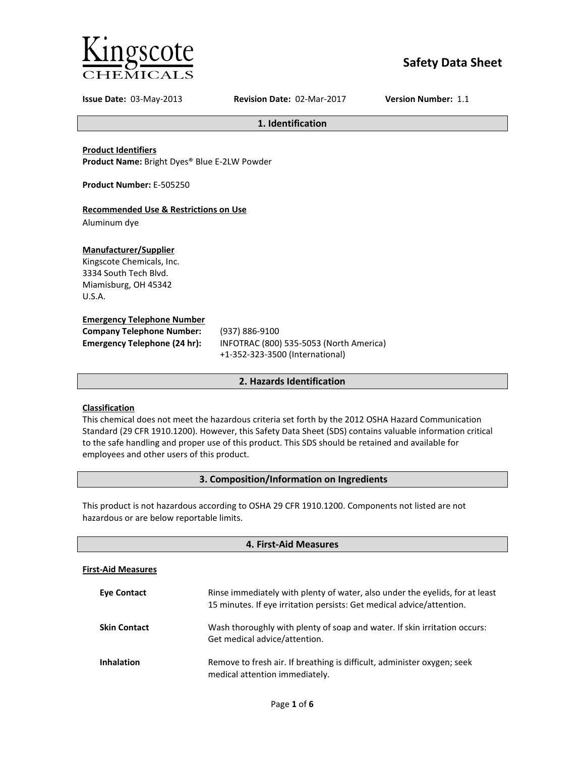

# **Safety Data Sheet**

**Issue Date:** 03-May-2013 **Revision Date:** 02-Mar-2017 **Version Number:** 1.1

**1. Identification**

**Product Identifiers Product Name:** Bright Dyes® Blue E-2LW Powder

**Product Number:** E-505250

# **Recommended Use & Restrictions on Use**

Aluminum dye

# **Manufacturer/Supplier**

Kingscote Chemicals, Inc. 3334 South Tech Blvd. Miamisburg, OH 45342 U.S.A.

# **Emergency Telephone Number**

| <b>Company Telephone Number:</b> | (937)       |
|----------------------------------|-------------|
| Emergency Telephone (24 hr):     | <b>INFC</b> |
|                                  |             |

**Company Telephone Number:** (937) 886-9100 **Emergency Telephone (24 hr):** INFOTRAC (800) 535-5053 (North America) +1-352-323-3500 (International)

# **2. Hazards Identification**

# **Classification**

This chemical does not meet the hazardous criteria set forth by the 2012 OSHA Hazard Communication Standard (29 CFR 1910.1200). However, this Safety Data Sheet (SDS) contains valuable information critical to the safe handling and proper use of this product. This SDS should be retained and available for employees and other users of this product.

# **3. Composition/Information on Ingredients**

This product is not hazardous according to OSHA 29 CFR 1910.1200. Components not listed are not hazardous or are below reportable limits.

| 4. First-Aid Measures     |                                                                                                                                                       |  |
|---------------------------|-------------------------------------------------------------------------------------------------------------------------------------------------------|--|
| <b>First-Aid Measures</b> |                                                                                                                                                       |  |
| <b>Eve Contact</b>        | Rinse immediately with plenty of water, also under the eyelids, for at least<br>15 minutes. If eye irritation persists: Get medical advice/attention. |  |
| <b>Skin Contact</b>       | Wash thoroughly with plenty of soap and water. If skin irritation occurs:<br>Get medical advice/attention.                                            |  |
| <b>Inhalation</b>         | Remove to fresh air. If breathing is difficult, administer oxygen; seek<br>medical attention immediately.                                             |  |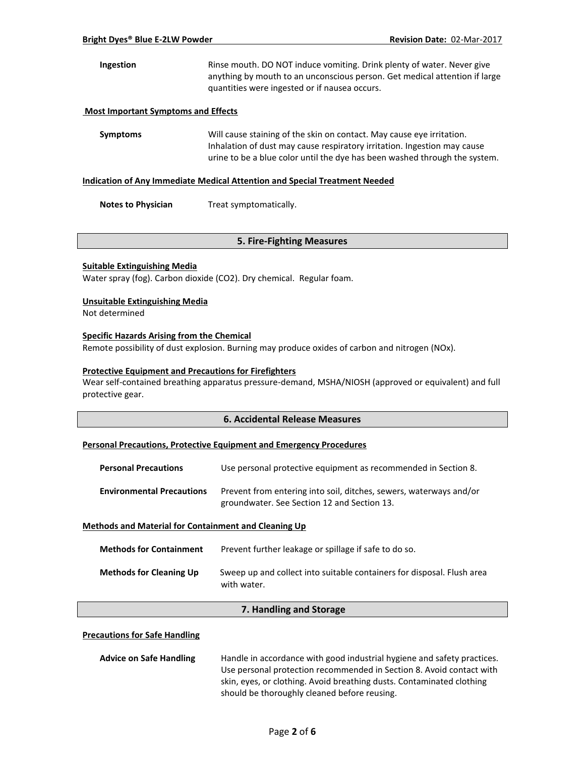# **Ingestion** Rinse mouth. DO NOT induce vomiting. Drink plenty of water. Never give anything by mouth to an unconscious person. Get medical attention if large quantities were ingested or if nausea occurs.

### **Most Important Symptoms and Effects**

**Symptoms** Will cause staining of the skin on contact. May cause eye irritation. Inhalation of dust may cause respiratory irritation. Ingestion may cause urine to be a blue color until the dye has been washed through the system.

#### **Indication of Any Immediate Medical Attention and Special Treatment Needed**

**Notes to Physician** Treat symptomatically.

### **5. Fire-Fighting Measures**

#### **Suitable Extinguishing Media**

Water spray (fog). Carbon dioxide (CO2). Dry chemical. Regular foam.

#### **Unsuitable Extinguishing Media**

Not determined

#### **Specific Hazards Arising from the Chemical**

Remote possibility of dust explosion. Burning may produce oxides of carbon and nitrogen (NOx).

#### **Protective Equipment and Precautions for Firefighters**

Wear self-contained breathing apparatus pressure-demand, MSHA/NIOSH (approved or equivalent) and full protective gear.

### **6. Accidental Release Measures**

#### **Personal Precautions, Protective Equipment and Emergency Procedures**

| <b>Personal Precautions</b>      | Use personal protective equipment as recommended in Section 8.                                                    |
|----------------------------------|-------------------------------------------------------------------------------------------------------------------|
| <b>Environmental Precautions</b> | Prevent from entering into soil, ditches, sewers, waterways and/or<br>groundwater. See Section 12 and Section 13. |

#### **Methods and Material for Containment and Cleaning Up**

| <b>Methods for Containment</b> | Prevent further leakage or spillage if safe to do so.                                 |
|--------------------------------|---------------------------------------------------------------------------------------|
| <b>Methods for Cleaning Up</b> | Sweep up and collect into suitable containers for disposal. Flush area<br>with water. |

# **7. Handling and Storage**

#### **Precautions for Safe Handling**

| <b>Advice on Safe Handling</b> | Handle in accordance with good industrial hygiene and safety practices. |
|--------------------------------|-------------------------------------------------------------------------|
|                                | Use personal protection recommended in Section 8. Avoid contact with    |
|                                | skin, eyes, or clothing. Avoid breathing dusts. Contaminated clothing   |
|                                | should be thoroughly cleaned before reusing.                            |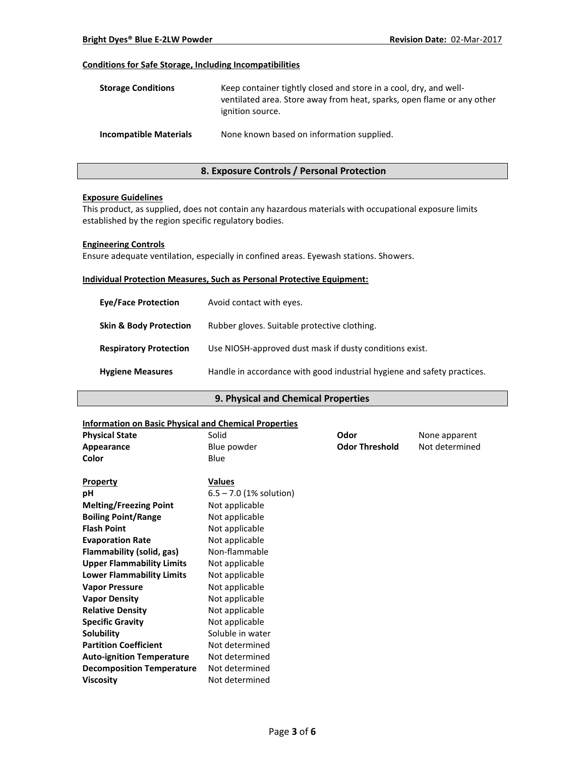# **Conditions for Safe Storage, Including Incompatibilities**

| <b>Storage Conditions</b>     | Keep container tightly closed and store in a cool, dry, and well-<br>ventilated area. Store away from heat, sparks, open flame or any other<br>ignition source. |
|-------------------------------|-----------------------------------------------------------------------------------------------------------------------------------------------------------------|
| <b>Incompatible Materials</b> | None known based on information supplied.                                                                                                                       |

# **8. Exposure Controls / Personal Protection**

### **Exposure Guidelines**

This product, as supplied, does not contain any hazardous materials with occupational exposure limits established by the region specific regulatory bodies.

### **Engineering Controls**

Ensure adequate ventilation, especially in confined areas. Eyewash stations. Showers.

#### **Individual Protection Measures, Such as Personal Protective Equipment:**

| <b>Eve/Face Protection</b>        | Avoid contact with eyes.                                                |
|-----------------------------------|-------------------------------------------------------------------------|
| <b>Skin &amp; Body Protection</b> | Rubber gloves. Suitable protective clothing.                            |
| <b>Respiratory Protection</b>     | Use NIOSH-approved dust mask if dusty conditions exist.                 |
| <b>Hygiene Measures</b>           | Handle in accordance with good industrial hygiene and safety practices. |

# **9. Physical and Chemical Properties**

# **Information on Basic Physical and Chemical Properties**

| <b>Physical State</b>                     | Solid                     | Odor                  | None apparent  |
|-------------------------------------------|---------------------------|-----------------------|----------------|
| Appearance                                | Blue powder               | <b>Odor Threshold</b> | Not determined |
| Color                                     | Blue                      |                       |                |
| <b>Property</b>                           | Values                    |                       |                |
| pH                                        | $6.5 - 7.0$ (1% solution) |                       |                |
| <b>Melting/Freezing Point</b>             | Not applicable            |                       |                |
| <b>Boiling Point/Range</b>                | Not applicable            |                       |                |
| <b>Flash Point</b>                        | Not applicable            |                       |                |
| <b>Evaporation Rate</b>                   | Not applicable            |                       |                |
| Flammability (solid, gas)                 | Non-flammable             |                       |                |
| <b>Upper Flammability Limits</b>          | Not applicable            |                       |                |
| <b>Lower Flammability Limits</b>          | Not applicable            |                       |                |
| <b>Vapor Pressure</b>                     | Not applicable            |                       |                |
| <b>Vapor Density</b>                      | Not applicable            |                       |                |
| <b>Relative Density</b>                   | Not applicable            |                       |                |
| <b>Specific Gravity</b><br>Not applicable |                           |                       |                |
| <b>Solubility</b>                         | Soluble in water          |                       |                |
| <b>Partition Coefficient</b>              | Not determined            |                       |                |
| <b>Auto-ignition Temperature</b>          | Not determined            |                       |                |
| <b>Decomposition Temperature</b>          | Not determined            |                       |                |
| <b>Viscosity</b>                          | Not determined            |                       |                |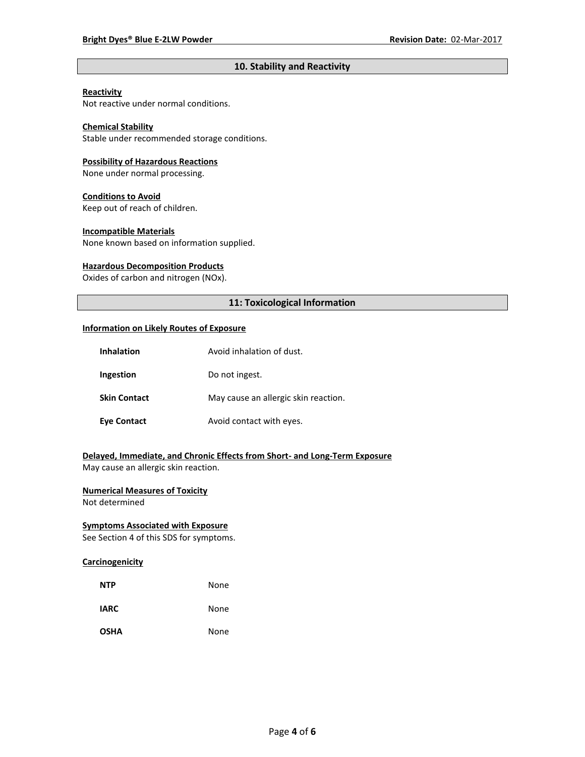# **10. Stability and Reactivity**

# **Reactivity**

Not reactive under normal conditions.

# **Chemical Stability**

Stable under recommended storage conditions.

#### **Possibility of Hazardous Reactions**

None under normal processing.

### **Conditions to Avoid**

Keep out of reach of children.

### **Incompatible Materials**

None known based on information supplied.

### **Hazardous Decomposition Products**

Oxides of carbon and nitrogen (NOx).

# **11: Toxicological Information**

#### **Information on Likely Routes of Exposure**

| <b>Inhalation</b>   | Avoid inhalation of dust.            |
|---------------------|--------------------------------------|
| Ingestion           | Do not ingest.                       |
| <b>Skin Contact</b> | May cause an allergic skin reaction. |
| <b>Eye Contact</b>  | Avoid contact with eyes.             |

# **Delayed, Immediate, and Chronic Effects from Short- and Long-Term Exposure**

May cause an allergic skin reaction.

# **Numerical Measures of Toxicity**

Not determined

# **Symptoms Associated with Exposure**

See Section 4 of this SDS for symptoms.

# **Carcinogenicity**

| <b>NTP</b>  | None |
|-------------|------|
| <b>IARC</b> | None |
| <b>OSHA</b> | None |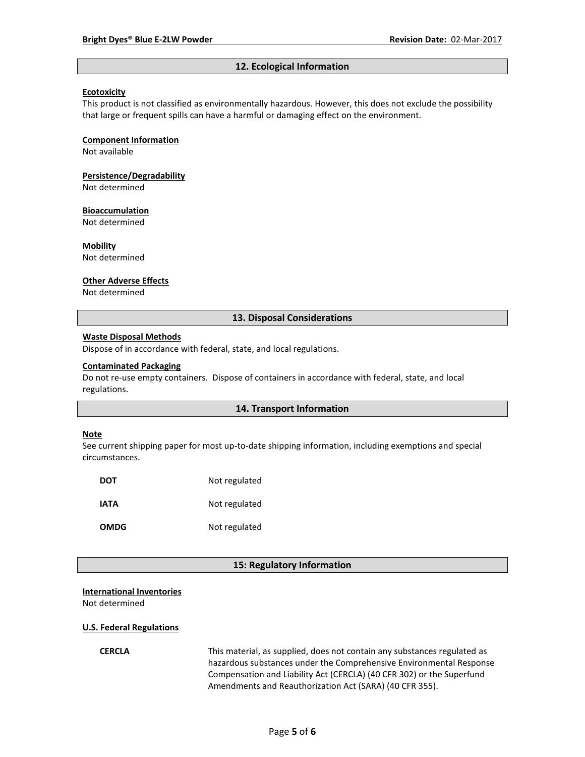#### **12. Ecological Information**

### **Ecotoxicity**

This product is not classified as environmentally hazardous. However, this does not exclude the possibility that large or frequent spills can have a harmful or damaging effect on the environment.

#### **Component Information**

Not available

# **Persistence/Degradability**

Not determined

#### **Bioaccumulation**

Not determined

#### **Mobility**

Not determined

#### **Other Adverse Effects**

Not determined

### **13. Disposal Considerations**

#### **Waste Disposal Methods**

Dispose of in accordance with federal, state, and local regulations.

#### **Contaminated Packaging**

Do not re-use empty containers.Dispose of containers in accordance with federal, state, and local regulations.

#### **14. Transport Information**

#### **Note**

See current shipping paper for most up-to-date shipping information, including exemptions and special circumstances.

| <b>DOT</b> | Not regulated |
|------------|---------------|
| IATA       | Not regulated |
| OMDG       | Not regulated |

### **15: Regulatory Information**

#### **International Inventories**

Not determined

#### **U.S. Federal Regulations**

**CERCLA** This material, as supplied, does not contain any substances regulated as hazardous substances under the Comprehensive Environmental Response Compensation and Liability Act (CERCLA) (40 CFR 302) or the Superfund Amendments and Reauthorization Act (SARA) (40 CFR 355).